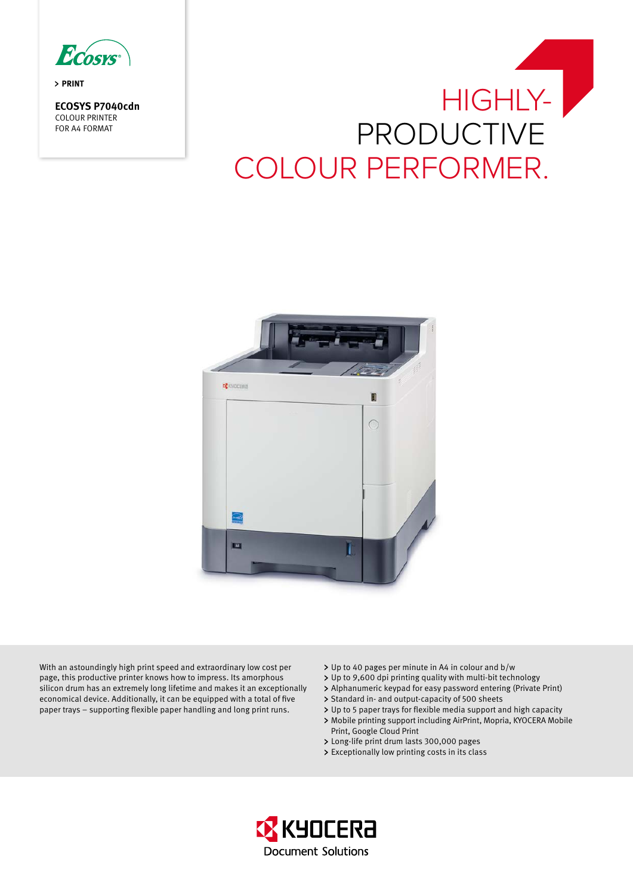Ecosys

**PRINT** 

**ECOSYS P7040cdn** COLOUR PRINTER FOR A4 FORMAT





With an astoundingly high print speed and extraordinary low cost per page, this productive printer knows how to impress. Its amorphous silicon drum has an extremely long lifetime and makes it an exceptionally economical device. Additionally, it can be equipped with a total of five paper trays – supporting flexible paper handling and long print runs.

- Up to 40 pages per minute in A4 in colour and b/w
- Up to 9,600 dpi printing quality with multi-bit technology
- Alphanumeric keypad for easy password entering (Private Print)
- > Standard in- and output-capacity of 500 sheets
- Up to 5 paper trays for flexible media support and high capacity
- Mobile printing support including AirPrint, Mopria, KYOCERA Mobile Print, Google Cloud Print
- Long-life print drum lasts 300,000 pages
- Exceptionally low printing costs in its class